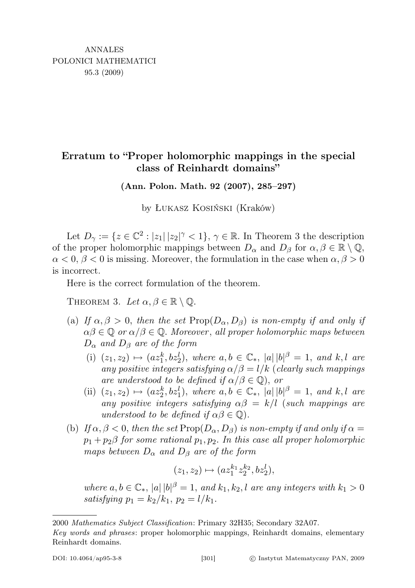## Erratum to "Proper holomorphic mappings in the special class of Reinhardt domains"

(Ann. Polon. Math. 92 (2007), 285–297)

by Łukasz Kosiński (Kraków)

Let  $D_{\gamma} := \{z \in \mathbb{C}^2 : |z_1| \, |z_2|^{\gamma} < 1\}, \, \gamma \in \mathbb{R}$ . In Theorem 3 the description of the proper holomorphic mappings between  $D_{\alpha}$  and  $D_{\beta}$  for  $\alpha, \beta \in \mathbb{R} \setminus \mathbb{Q}$ ,  $\alpha < 0, \beta < 0$  is missing. Moreover, the formulation in the case when  $\alpha, \beta > 0$ is incorrect.

Here is the correct formulation of the theorem.

THEOREM 3. Let  $\alpha, \beta \in \mathbb{R} \setminus \mathbb{Q}$ .

- (a) If  $\alpha, \beta > 0$ , then the set  $\text{Prop}(D_{\alpha}, D_{\beta})$  is non-empty if and only if  $\alpha\beta \in \mathbb{Q}$  or  $\alpha/\beta \in \mathbb{Q}$ . Moreover, all proper holomorphic maps between  $D_{\alpha}$  and  $D_{\beta}$  are of the form
	- (i)  $(z_1, z_2) \mapsto (az_1^k, bz_2^l)$ , where  $a, b \in \mathbb{C}_*$ ,  $|a||b|^{\beta} = 1$ , and  $k, l$  are any positive integers satisfying  $\alpha/\beta = l/k$  (clearly such mappings are understood to be defined if  $\alpha/\beta \in \mathbb{Q}$ , or
	- (ii)  $(z_1, z_2) \mapsto (az_2^k, bz_1^l)$ , where  $a, b \in \mathbb{C}_*$ ,  $|a||b|^{\beta} = 1$ , and  $k, l$  are any positive integers satisfying  $\alpha\beta = k/l$  (such mappings are understood to be defined if  $\alpha\beta \in \mathbb{Q}$ ).
- (b) If  $\alpha, \beta < 0$ , then the set Prop $(D_{\alpha}, D_{\beta})$  is non-empty if and only if  $\alpha =$  $p_1+p_2\beta$  for some rational  $p_1, p_2$ . In this case all proper holomorphic maps between  $D_{\alpha}$  and  $D_{\beta}$  are of the form

$$
(z_1,z_2)\mapsto (az_1^{k_1}z_2^{k_2},bz_2^l),
$$

where  $a, b \in \mathbb{C}_*$ ,  $|a| |b|^\beta = 1$ , and  $k_1, k_2, l$  are any integers with  $k_1 > 0$ satisfying  $p_1 = k_2/k_1$ ,  $p_2 = l/k_1$ .

<sup>2000</sup> Mathematics Subject Classification: Primary 32H35; Secondary 32A07.

Key words and phrases: proper holomorphic mappings, Reinhardt domains, elementary Reinhardt domains.